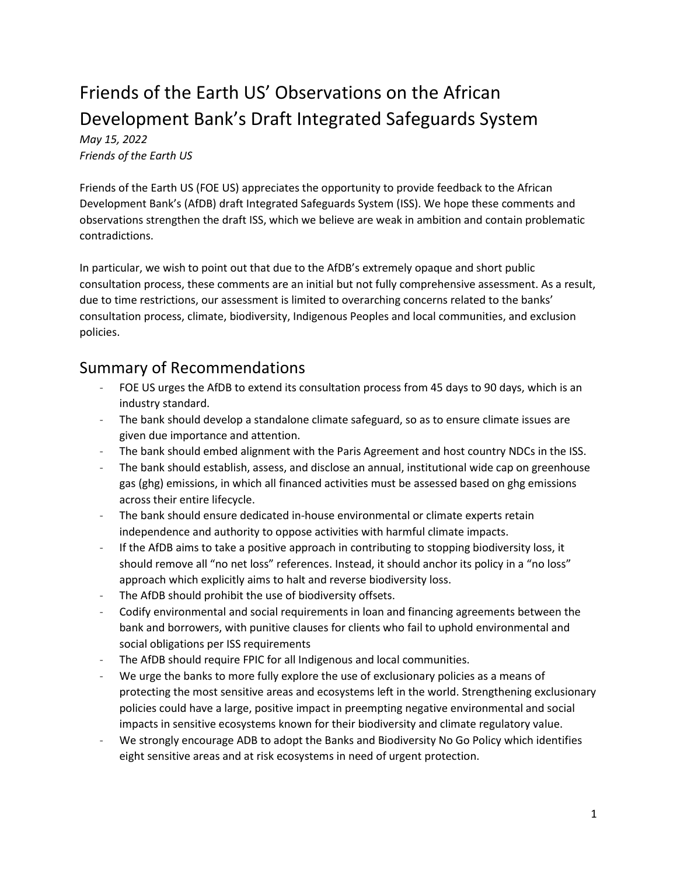# Friends of the Earth US' Observations on the African Development Bank's Draft Integrated Safeguards System

*May 15, 2022 Friends of the Earth US* 

Friends of the Earth US (FOE US) appreciates the opportunity to provide feedback to the African Development Bank's (AfDB) draft Integrated Safeguards System (ISS). We hope these comments and observations strengthen the draft ISS, which we believe are weak in ambition and contain problematic contradictions.

In particular, we wish to point out that due to the AfDB's extremely opaque and short public consultation process, these comments are an initial but not fully comprehensive assessment. As a result, due to time restrictions, our assessment is limited to overarching concerns related to the banks' consultation process, climate, biodiversity, Indigenous Peoples and local communities, and exclusion policies.

# Summary of Recommendations

- FOE US urges the AfDB to extend its consultation process from 45 days to 90 days, which is an industry standard.
- The bank should develop a standalone climate safeguard, so as to ensure climate issues are given due importance and attention.
- The bank should embed alignment with the Paris Agreement and host country NDCs in the ISS.
- The bank should establish, assess, and disclose an annual, institutional wide cap on greenhouse gas (ghg) emissions, in which all financed activities must be assessed based on ghg emissions across their entire lifecycle.
- The bank should ensure dedicated in-house environmental or climate experts retain independence and authority to oppose activities with harmful climate impacts.
- If the AfDB aims to take a positive approach in contributing to stopping biodiversity loss, it should remove all "no net loss" references. Instead, it should anchor its policy in a "no loss" approach which explicitly aims to halt and reverse biodiversity loss.
- The AfDB should prohibit the use of biodiversity offsets.
- Codify environmental and social requirements in loan and financing agreements between the bank and borrowers, with punitive clauses for clients who fail to uphold environmental and social obligations per ISS requirements
- The AfDB should require FPIC for all Indigenous and local communities.
- We urge the banks to more fully explore the use of exclusionary policies as a means of protecting the most sensitive areas and ecosystems left in the world. Strengthening exclusionary policies could have a large, positive impact in preempting negative environmental and social impacts in sensitive ecosystems known for their biodiversity and climate regulatory value.
- We strongly encourage ADB to adopt the Banks and Biodiversity No Go Policy which identifies eight sensitive areas and at risk ecosystems in need of urgent protection.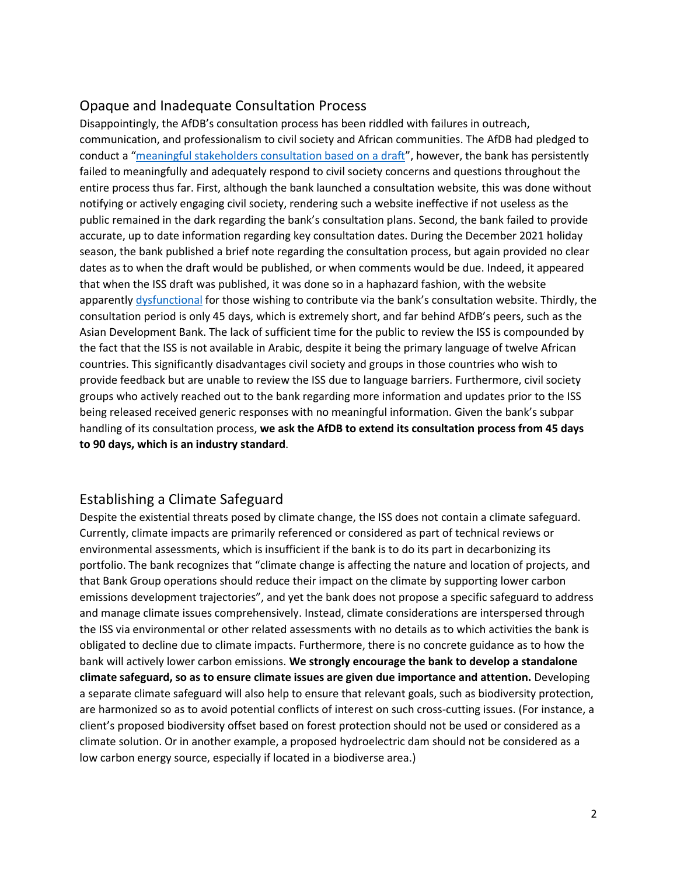#### Opaque and Inadequate Consultation Process

Disappointingly, the AfDB's consultation process has been riddled with failures in outreach, communication, and professionalism to civil society and African communities. The AfDB had pledged to conduct a "[meaningful stakeholders consultation based on a draft](https://arabwatchcoalition.org/2022/03/24/the-afdb-missed-the-right-oppotunity-to-become-responsible-for-development-in-africa/)", however, the bank has persistently failed to meaningfully and adequately respond to civil society concerns and questions throughout the entire process thus far. First, although the bank launched a consultation website, this was done without notifying or actively engaging civil society, rendering such a website ineffective if not useless as the public remained in the dark regarding the bank's consultation plans. Second, the bank failed to provide accurate, up to date information regarding key consultation dates. During the December 2021 holiday season, the bank published a brief note regarding the consultation process, but again provided no clear dates as to when the draft would be published, or when comments would be due. Indeed, it appeared that when the ISS draft was published, it was done so in a haphazard fashion, with the website apparently [dysfunctional](https://arabwatchcoalition.org/2022/03/24/the-afdb-missed-the-right-oppotunity-to-become-responsible-for-development-in-africa/) for those wishing to contribute via the bank's consultation website. Thirdly, the consultation period is only 45 days, which is extremely short, and far behind AfDB's peers, such as the Asian Development Bank. The lack of sufficient time for the public to review the ISS is compounded by the fact that the ISS is not available in Arabic, despite it being the primary language of twelve African countries. This significantly disadvantages civil society and groups in those countries who wish to provide feedback but are unable to review the ISS due to language barriers. Furthermore, civil society groups who actively reached out to the bank regarding more information and updates prior to the ISS being released received generic responses with no meaningful information. Given the bank's subpar handling of its consultation process, **we ask the AfDB to extend its consultation process from 45 days to 90 days, which is an industry standard**.

#### Establishing a Climate Safeguard

Despite the existential threats posed by climate change, the ISS does not contain a climate safeguard. Currently, climate impacts are primarily referenced or considered as part of technical reviews or environmental assessments, which is insufficient if the bank is to do its part in decarbonizing its portfolio. The bank recognizes that "climate change is affecting the nature and location of projects, and that Bank Group operations should reduce their impact on the climate by supporting lower carbon emissions development trajectories", and yet the bank does not propose a specific safeguard to address and manage climate issues comprehensively. Instead, climate considerations are interspersed through the ISS via environmental or other related assessments with no details as to which activities the bank is obligated to decline due to climate impacts. Furthermore, there is no concrete guidance as to how the bank will actively lower carbon emissions. **We strongly encourage the bank to develop a standalone climate safeguard, so as to ensure climate issues are given due importance and attention.** Developing a separate climate safeguard will also help to ensure that relevant goals, such as biodiversity protection, are harmonized so as to avoid potential conflicts of interest on such cross-cutting issues. (For instance, a client's proposed biodiversity offset based on forest protection should not be used or considered as a climate solution. Or in another example, a proposed hydroelectric dam should not be considered as a low carbon energy source, especially if located in a biodiverse area.)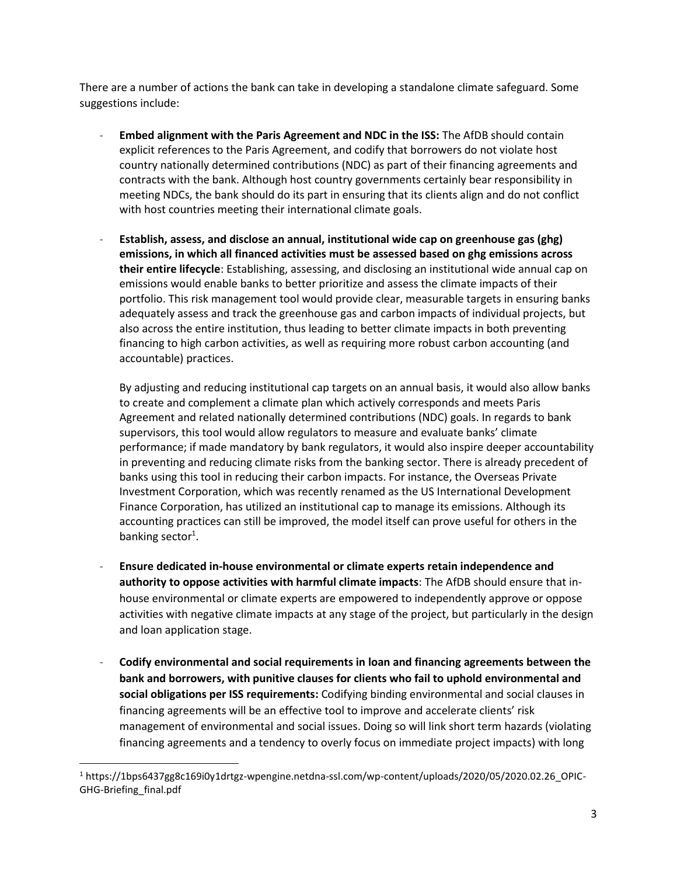There are a number of actions the bank can take in developing a standalone climate safeguard. Some suggestions include:

- **Embed alignment with the Paris Agreement and NDC in the ISS:** The AfDB should contain explicit references to the Paris Agreement, and codify that borrowers do not violate host country nationally determined contributions (NDC) as part of their financing agreements and contracts with the bank. Although host country governments certainly bear responsibility in meeting NDCs, the bank should do its part in ensuring that its clients align and do not conflict with host countries meeting their international climate goals.
- **Establish, assess, and disclose an annual, institutional wide cap on greenhouse gas (ghg) emissions, in which all financed activities must be assessed based on ghg emissions across their entire lifecycle**: Establishing, assessing, and disclosing an institutional wide annual cap on emissions would enable banks to better prioritize and assess the climate impacts of their portfolio. This risk management tool would provide clear, measurable targets in ensuring banks adequately assess and track the greenhouse gas and carbon impacts of individual projects, but also across the entire institution, thus leading to better climate impacts in both preventing financing to high carbon activities, as well as requiring more robust carbon accounting (and accountable) practices.

By adjusting and reducing institutional cap targets on an annual basis, it would also allow banks to create and complement a climate plan which actively corresponds and meets Paris Agreement and related nationally determined contributions (NDC) goals. In regards to bank supervisors, this tool would allow regulators to measure and evaluate banks' climate performance; if made mandatory by bank regulators, it would also inspire deeper accountability in preventing and reducing climate risks from the banking sector. There is already precedent of banks using this tool in reducing their carbon impacts. For instance, the Overseas Private Investment Corporation, which was recently renamed as the US International Development Finance Corporation, has utilized an institutional cap to manage its emissions. Although its accounting practices can still be improved, the model itself can prove useful for others in the banking sector<sup>1</sup>.

- **Ensure dedicated in-house environmental or climate experts retain independence and authority to oppose activities with harmful climate impacts**: The AfDB should ensure that inhouse environmental or climate experts are empowered to independently approve or oppose activities with negative climate impacts at any stage of the project, but particularly in the design and loan application stage.
- **Codify environmental and social requirements in loan and financing agreements between the bank and borrowers, with punitive clauses for clients who fail to uphold environmental and social obligations per ISS requirements:** Codifying binding environmental and social clauses in financing agreements will be an effective tool to improve and accelerate clients' risk management of environmental and social issues. Doing so will link short term hazards (violating financing agreements and a tendency to overly focus on immediate project impacts) with long

<sup>1</sup> https://1bps6437gg8c169i0y1drtgz-wpengine.netdna-ssl.com/wp-content/uploads/2020/05/2020.02.26\_OPIC-GHG-Briefing\_final.pdf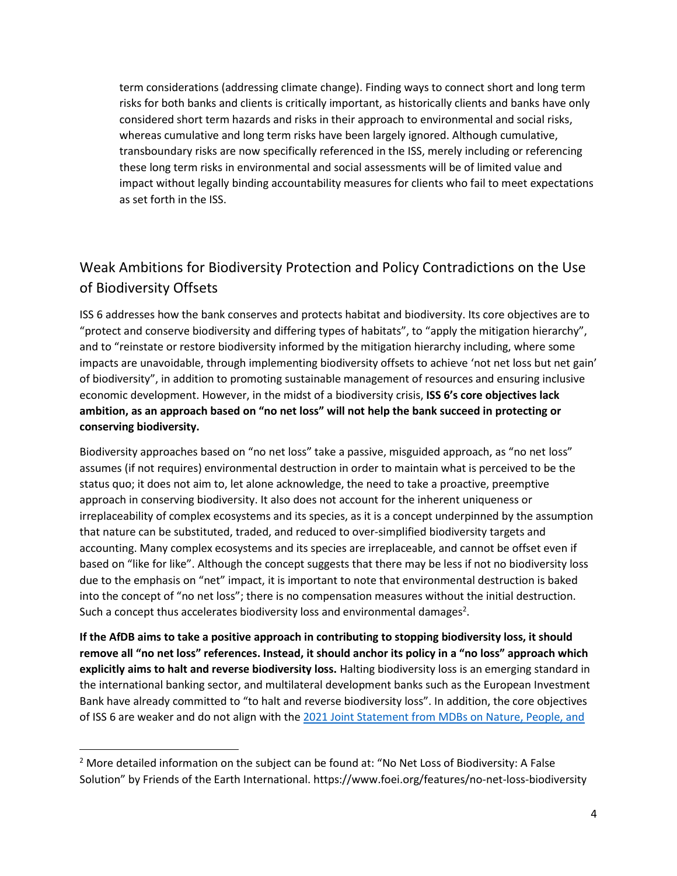term considerations (addressing climate change). Finding ways to connect short and long term risks for both banks and clients is critically important, as historically clients and banks have only considered short term hazards and risks in their approach to environmental and social risks, whereas cumulative and long term risks have been largely ignored. Although cumulative, transboundary risks are now specifically referenced in the ISS, merely including or referencing these long term risks in environmental and social assessments will be of limited value and impact without legally binding accountability measures for clients who fail to meet expectations as set forth in the ISS.

# Weak Ambitions for Biodiversity Protection and Policy Contradictions on the Use of Biodiversity Offsets

ISS 6 addresses how the bank conserves and protects habitat and biodiversity. Its core objectives are to "protect and conserve biodiversity and differing types of habitats", to "apply the mitigation hierarchy", and to "reinstate or restore biodiversity informed by the mitigation hierarchy including, where some impacts are unavoidable, through implementing biodiversity offsets to achieve 'not net loss but net gain' of biodiversity", in addition to promoting sustainable management of resources and ensuring inclusive economic development. However, in the midst of a biodiversity crisis, **ISS 6's core objectives lack ambition, as an approach based on "no net loss" will not help the bank succeed in protecting or conserving biodiversity.**

Biodiversity approaches based on "no net loss" take a passive, misguided approach, as "no net loss" assumes (if not requires) environmental destruction in order to maintain what is perceived to be the status quo; it does not aim to, let alone acknowledge, the need to take a proactive, preemptive approach in conserving biodiversity. It also does not account for the inherent uniqueness or irreplaceability of complex ecosystems and its species, as it is a concept underpinned by the assumption that nature can be substituted, traded, and reduced to over-simplified biodiversity targets and accounting. Many complex ecosystems and its species are irreplaceable, and cannot be offset even if based on "like for like". Although the concept suggests that there may be less if not no biodiversity loss due to the emphasis on "net" impact, it is important to note that environmental destruction is baked into the concept of "no net loss"; there is no compensation measures without the initial destruction. Such a concept thus accelerates biodiversity loss and environmental damages<sup>2</sup>.

**If the AfDB aims to take a positive approach in contributing to stopping biodiversity loss, it should remove all "no net loss" references. Instead, it should anchor its policy in a "no loss" approach which explicitly aims to halt and reverse biodiversity loss.** Halting biodiversity loss is an emerging standard in the international banking sector, and multilateral development banks such as the European Investment Bank have already committed to "to halt and reverse biodiversity loss". In addition, the core objectives of ISS 6 are weaker and do not align with the [2021 Joint Statement from MDBs on Nature, People, and](https://idbdocs.iadb.org/wsdocs/getdocument.aspx?docnum=EZSHARE-1729984378-40) 

<sup>&</sup>lt;sup>2</sup> More detailed information on the subject can be found at: "No Net Loss of Biodiversity: A False Solution" by Friends of the Earth International. https://www.foei.org/features/no-net-loss-biodiversity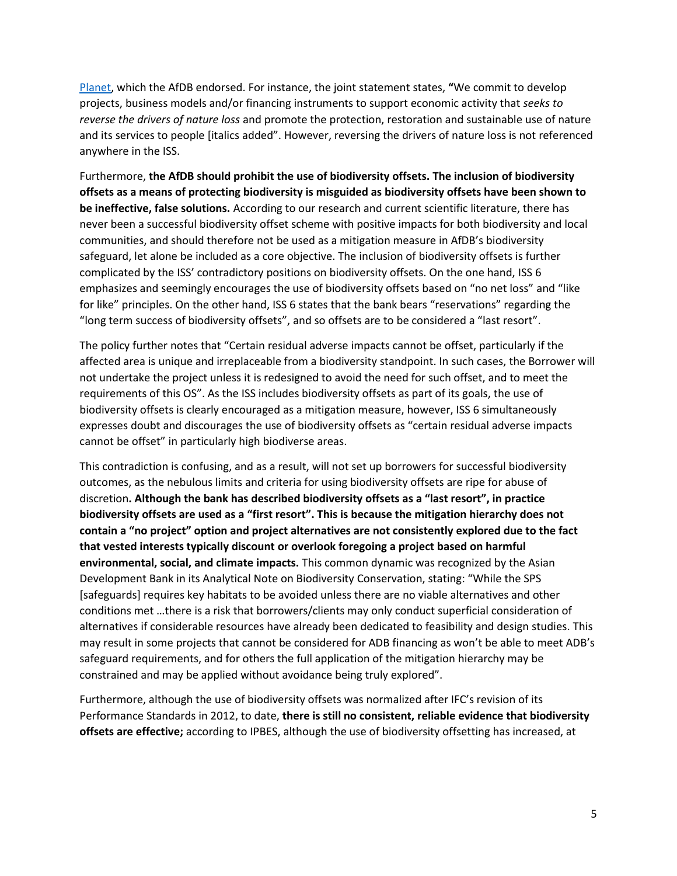[Planet,](https://idbdocs.iadb.org/wsdocs/getdocument.aspx?docnum=EZSHARE-1729984378-40) which the AfDB endorsed. For instance, the joint statement states, **"**We commit to develop projects, business models and/or financing instruments to support economic activity that *seeks to reverse the drivers of nature loss* and promote the protection, restoration and sustainable use of nature and its services to people [italics added". However, reversing the drivers of nature loss is not referenced anywhere in the ISS.

Furthermore, **the AfDB should prohibit the use of biodiversity offsets. The inclusion of biodiversity offsets as a means of protecting biodiversity is misguided as biodiversity offsets have been shown to be ineffective, false solutions.** According to our research and current scientific literature, there has never been a successful biodiversity offset scheme with positive impacts for both biodiversity and local communities, and should therefore not be used as a mitigation measure in AfDB's biodiversity safeguard, let alone be included as a core objective. The inclusion of biodiversity offsets is further complicated by the ISS' contradictory positions on biodiversity offsets. On the one hand, ISS 6 emphasizes and seemingly encourages the use of biodiversity offsets based on "no net loss" and "like for like" principles. On the other hand, ISS 6 states that the bank bears "reservations" regarding the "long term success of biodiversity offsets", and so offsets are to be considered a "last resort".

The policy further notes that "Certain residual adverse impacts cannot be offset, particularly if the affected area is unique and irreplaceable from a biodiversity standpoint. In such cases, the Borrower will not undertake the project unless it is redesigned to avoid the need for such offset, and to meet the requirements of this OS". As the ISS includes biodiversity offsets as part of its goals, the use of biodiversity offsets is clearly encouraged as a mitigation measure, however, ISS 6 simultaneously expresses doubt and discourages the use of biodiversity offsets as "certain residual adverse impacts cannot be offset" in particularly high biodiverse areas.

This contradiction is confusing, and as a result, will not set up borrowers for successful biodiversity outcomes, as the nebulous limits and criteria for using biodiversity offsets are ripe for abuse of discretion**. Although the bank has described biodiversity offsets as a "last resort", in practice biodiversity offsets are used as a "first resort". This is because the mitigation hierarchy does not contain a "no project" option and project alternatives are not consistently explored due to the fact that vested interests typically discount or overlook foregoing a project based on harmful environmental, social, and climate impacts.** This common dynamic was recognized by the Asian Development Bank in its Analytical Note on Biodiversity Conservation, stating: "While the SPS [safeguards] requires key habitats to be avoided unless there are no viable alternatives and other conditions met …there is a risk that borrowers/clients may only conduct superficial consideration of alternatives if considerable resources have already been dedicated to feasibility and design studies. This may result in some projects that cannot be considered for ADB financing as won't be able to meet ADB's safeguard requirements, and for others the full application of the mitigation hierarchy may be constrained and may be applied without avoidance being truly explored".

Furthermore, although the use of biodiversity offsets was normalized after IFC's revision of its Performance Standards in 2012, to date, **there is still no consistent, reliable evidence that biodiversity offsets are effective;** according to IPBES, although the use of biodiversity offsetting has increased, at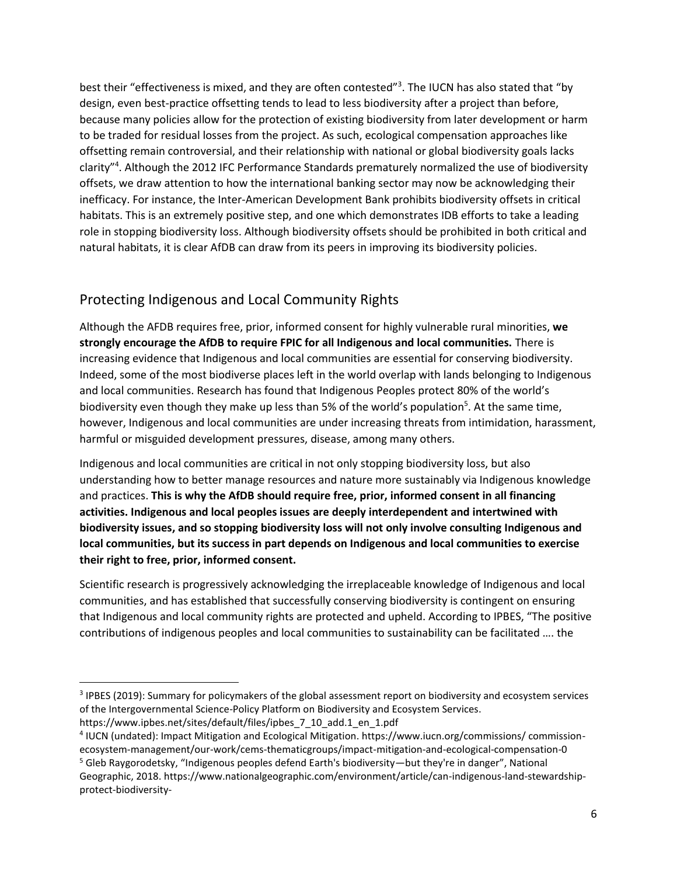best their "effectiveness is mixed, and they are often contested"<sup>3</sup>. The IUCN has also stated that "by design, even best-practice offsetting tends to lead to less biodiversity after a project than before, because many policies allow for the protection of existing biodiversity from later development or harm to be traded for residual losses from the project. As such, ecological compensation approaches like offsetting remain controversial, and their relationship with national or global biodiversity goals lacks clarity" 4 . Although the 2012 IFC Performance Standards prematurely normalized the use of biodiversity offsets, we draw attention to how the international banking sector may now be acknowledging their inefficacy. For instance, the Inter-American Development Bank prohibits biodiversity offsets in critical habitats. This is an extremely positive step, and one which demonstrates IDB efforts to take a leading role in stopping biodiversity loss. Although biodiversity offsets should be prohibited in both critical and natural habitats, it is clear AfDB can draw from its peers in improving its biodiversity policies.

## Protecting Indigenous and Local Community Rights

Although the AFDB requires free, prior, informed consent for highly vulnerable rural minorities, **we strongly encourage the AfDB to require FPIC for all Indigenous and local communities.** There is increasing evidence that Indigenous and local communities are essential for conserving biodiversity. Indeed, some of the most biodiverse places left in the world overlap with lands belonging to Indigenous and local communities. Research has found that Indigenous Peoples protect 80% of the world's biodiversity even though they make up less than 5% of the world's population<sup>5</sup>. At the same time, however, Indigenous and local communities are under increasing threats from intimidation, harassment, harmful or misguided development pressures, disease, among many others.

Indigenous and local communities are critical in not only stopping biodiversity loss, but also understanding how to better manage resources and nature more sustainably via Indigenous knowledge and practices. **This is why the AfDB should require free, prior, informed consent in all financing activities. Indigenous and local peoples issues are deeply interdependent and intertwined with biodiversity issues, and so stopping biodiversity loss will not only involve consulting Indigenous and local communities, but its success in part depends on Indigenous and local communities to exercise their right to free, prior, informed consent.**

Scientific research is progressively acknowledging the irreplaceable knowledge of Indigenous and local communities, and has established that successfully conserving biodiversity is contingent on ensuring that Indigenous and local community rights are protected and upheld. According to IPBES, "The positive contributions of indigenous peoples and local communities to sustainability can be facilitated …. the

<sup>&</sup>lt;sup>3</sup> IPBES (2019): Summary for policymakers of the global assessment report on biodiversity and ecosystem services of the Intergovernmental Science-Policy Platform on Biodiversity and Ecosystem Services.

https://www.ipbes.net/sites/default/files/ipbes\_7\_10\_add.1\_en\_1.pdf

<sup>4</sup> IUCN (undated): Impact Mitigation and Ecological Mitigation. https://www.iucn.org/commissions/ commissionecosystem-management/our-work/cems-thematicgroups/impact-mitigation-and-ecological-compensation-0 <sup>5</sup> Gleb Raygorodetsky, "Indigenous peoples defend Earth's biodiversity—but they're in danger", National

Geographic, 2018. https://www.nationalgeographic.com/environment/article/can-indigenous-land-stewardshipprotect-biodiversity-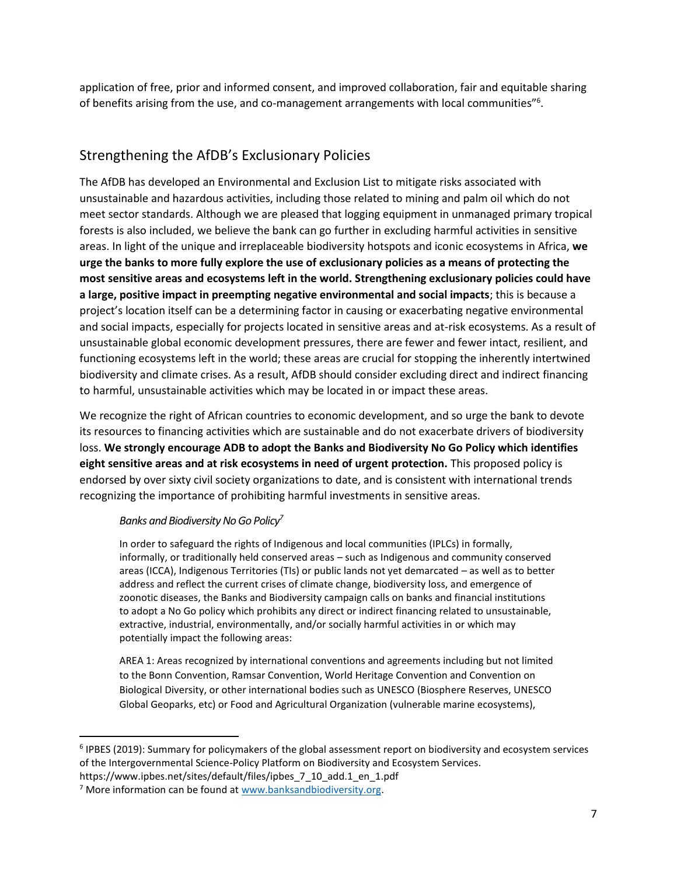application of free, prior and informed consent, and improved collaboration, fair and equitable sharing of benefits arising from the use, and co-management arrangements with local communities"<sup>6</sup>.

### Strengthening the AfDB's Exclusionary Policies

The AfDB has developed an Environmental and Exclusion List to mitigate risks associated with unsustainable and hazardous activities, including those related to mining and palm oil which do not meet sector standards. Although we are pleased that logging equipment in unmanaged primary tropical forests is also included, we believe the bank can go further in excluding harmful activities in sensitive areas. In light of the unique and irreplaceable biodiversity hotspots and iconic ecosystems in Africa, **we urge the banks to more fully explore the use of exclusionary policies as a means of protecting the most sensitive areas and ecosystems left in the world. Strengthening exclusionary policies could have a large, positive impact in preempting negative environmental and social impacts**; this is because a project's location itself can be a determining factor in causing or exacerbating negative environmental and social impacts, especially for projects located in sensitive areas and at-risk ecosystems. As a result of unsustainable global economic development pressures, there are fewer and fewer intact, resilient, and functioning ecosystems left in the world; these areas are crucial for stopping the inherently intertwined biodiversity and climate crises. As a result, AfDB should consider excluding direct and indirect financing to harmful, unsustainable activities which may be located in or impact these areas.

We recognize the right of African countries to economic development, and so urge the bank to devote its resources to financing activities which are sustainable and do not exacerbate drivers of biodiversity loss. **We strongly encourage ADB to adopt the Banks and Biodiversity No Go Policy which identifies eight sensitive areas and at risk ecosystems in need of urgent protection.** This proposed policy is endorsed by over sixty civil society organizations to date, and is consistent with international trends recognizing the importance of prohibiting harmful investments in sensitive areas.

#### *Banks and Biodiversity No Go Policy<sup>7</sup>*

In order to safeguard the rights of Indigenous and local communities (IPLCs) in formally, informally, or traditionally held conserved areas – such as Indigenous and community conserved areas (ICCA), Indigenous Territories (TIs) or public lands not yet demarcated – as well as to better address and reflect the current crises of climate change, biodiversity loss, and emergence of zoonotic diseases, the Banks and Biodiversity campaign calls on banks and financial institutions to adopt a No Go policy which prohibits any direct or indirect financing related to unsustainable, extractive, industrial, environmentally, and/or socially harmful activities in or which may potentially impact the following areas:

AREA 1: Areas recognized by international conventions and agreements including but not limited to the Bonn Convention, Ramsar Convention, World Heritage Convention and Convention on Biological Diversity, or other international bodies such as UNESCO (Biosphere Reserves, UNESCO Global Geoparks, etc) or Food and Agricultural Organization (vulnerable marine ecosystems),

<sup>&</sup>lt;sup>6</sup> IPBES (2019): Summary for policymakers of the global assessment report on biodiversity and ecosystem services of the Intergovernmental Science-Policy Platform on Biodiversity and Ecosystem Services. https://www.ipbes.net/sites/default/files/ipbes\_7\_10\_add.1\_en\_1.pdf

<sup>&</sup>lt;sup>7</sup> More information can be found a[t www.banksandbiodiversity.org.](http://www.banksandbiodiversity.org/)